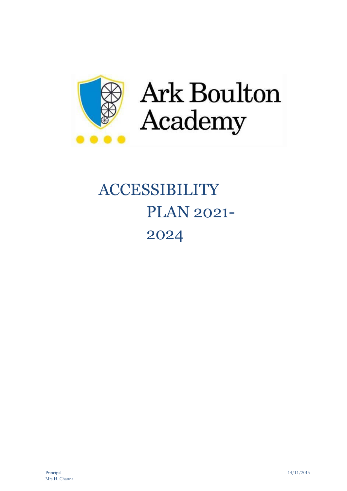

Ark Boulton Academy

# ACCESSIBILITY PLAN 2021- 2024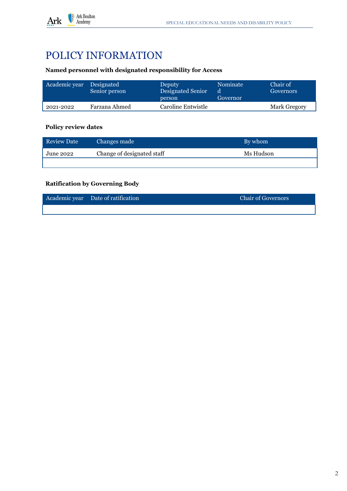

## POLICY INFORMATION

#### **Named personnel with designated responsibility for Access**

| Academic year | Designated<br>Senior person | Deputy.<br>Designated Senior<br>person | Nominate<br>d<br>Governor | Chair of<br>Governors |
|---------------|-----------------------------|----------------------------------------|---------------------------|-----------------------|
| 2021-2022     | Farzana Ahmed               | Caroline Entwistle                     |                           | Mark Gregory          |

#### **Policy review dates**

| <b>Review Date</b> | Changes made               | By whom   |
|--------------------|----------------------------|-----------|
| June 2022          | Change of designated staff | Ms Hudson |
|                    |                            |           |

#### **Ratification by Governing Body**

| Academic year Date of ratification | <b>Chair of Governors</b> |
|------------------------------------|---------------------------|
|                                    |                           |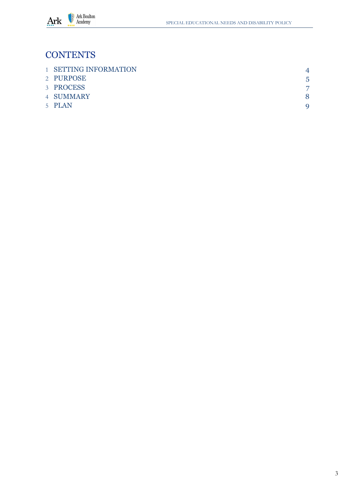

## **CONTENTS**

| <b>1 SETTING INFORMATION</b> | $\boldsymbol{\varDelta}$ |
|------------------------------|--------------------------|
| 2 PURPOSE                    | 5                        |
| 3 PROCESS                    |                          |
| 4 SUMMARY                    |                          |
| 5 PLAN                       |                          |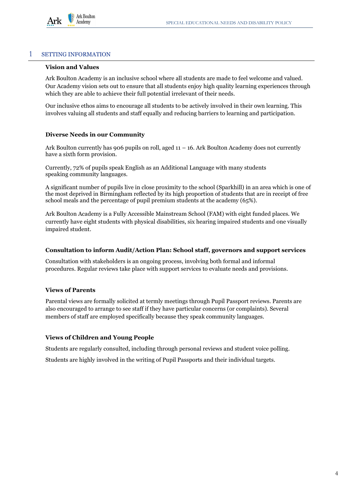

#### <span id="page-4-0"></span>1 SETTING INFORMATION

#### **Vision and Values**

Ark Boulton Academy is an inclusive school where all students are made to feel welcome and valued. Our Academy vision sets out to ensure that all students enjoy high quality learning experiences through which they are able to achieve their full potential irrelevant of their needs.

Our inclusive ethos aims to encourage all students to be actively involved in their own learning. This involves valuing all students and staff equally and reducing barriers to learning and participation.

#### **Diverse Needs in our Community**

Ark Boulton currently has 906 pupils on roll, aged  $11 - 16$ . Ark Boulton Academy does not currently have a sixth form provision.

Currently, 72% of pupils speak English as an Additional Language with many students speaking community languages.

A significant number of pupils live in close proximity to the school (Sparkhill) in an area which is one of the most deprived in Birmingham reflected by its high proportion of students that are in receipt of free school meals and the percentage of pupil premium students at the academy (65%).

Ark Boulton Academy is a Fully Accessible Mainstream School (FAM) with eight funded places. We currently have eight students with physical disabilities, six hearing impaired students and one visually impaired student.

#### **Consultation to inform Audit/Action Plan: School staff, governors and support services**

Consultation with stakeholders is an ongoing process, involving both formal and informal procedures. Regular reviews take place with support services to evaluate needs and provisions.

#### **Views of Parents**

Parental views are formally solicited at termly meetings through Pupil Passport reviews. Parents are also encouraged to arrange to see staff if they have particular concerns (or complaints). Several members of staff are employed specifically because they speak community languages.

#### **Views of Children and Young People**

Students are regularly consulted, including through personal reviews and student voice polling.

Students are highly involved in the writing of Pupil Passports and their individual targets.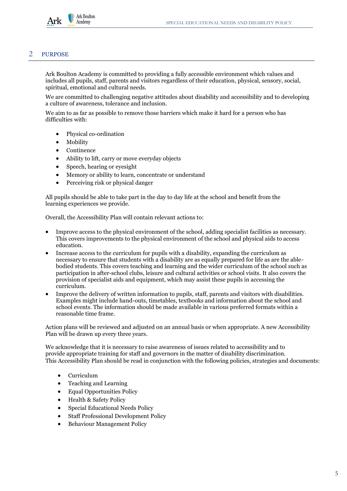

#### <span id="page-5-0"></span>2 PURPOSE

Ark Boulton Academy is committed to providing a fully accessible environment which values and includes all pupils, staff, parents and visitors regardless of their education, physical, sensory, social, spiritual, emotional and cultural needs.

We are committed to challenging negative attitudes about disability and accessibility and to developing a culture of awareness, tolerance and inclusion.

We aim to as far as possible to remove those barriers which make it hard for a person who has difficulties with:

- Physical co-ordination
- Mobility
- **Continence**
- Ability to lift, carry or move everyday objects
- Speech, hearing or eyesight
- Memory or ability to learn, concentrate or understand
- Perceiving risk or physical danger

All pupils should be able to take part in the day to day life at the school and benefit from the learning experiences we provide.

Overall, the Accessibility Plan will contain relevant actions to:

- Improve access to the physical environment of the school, adding specialist facilities as necessary. This covers improvements to the physical environment of the school and physical aids to access education.
- Increase access to the curriculum for pupils with a disability, expanding the curriculum as necessary to ensure that students with a disability are as equally prepared for life as are the ablebodied students. This covers teaching and learning and the wider curriculum of the school such as participation in after-school clubs, leisure and cultural activities or school visits. It also covers the provision of specialist aids and equipment, which may assist these pupils in accessing the curriculum.
- Improve the delivery of written information to pupils, staff, parents and visitors with disabilities. Examples might include hand-outs, timetables, textbooks and information about the school and school events. The information should be made available in various preferred formats within a reasonable time frame.

Action plans will be reviewed and adjusted on an annual basis or when appropriate. A new Accessibility Plan will be drawn up every three years.

We acknowledge that it is necessary to raise awareness of issues related to accessibility and to provide appropriate training for staff and governors in the matter of disability discrimination. This Accessibility Plan should be read in conjunction with the following policies, strategies and documents:

- Curriculum
- Teaching and Learning
- Equal Opportunities Policy
- Health & Safety Policy
- Special Educational Needs Policy
- Staff Professional Development Policy
- Behaviour Management Policy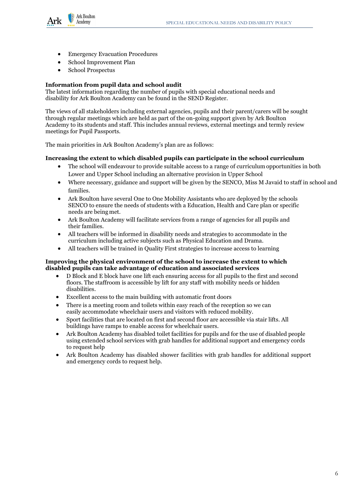

- **Emergency Evacuation Procedures**
- School Improvement Plan
- School Prospectus

#### **Information from pupil data and school audit**

The latest information regarding the number of pupils with special educational needs and disability for Ark Boulton Academy can be found in the SEND Register.

The views of all stakeholders including external agencies, pupils and their parent/carers will be sought through regular meetings which are held as part of the on-going support given by Ark Boulton Academy to its students and staff. This includes annual reviews, external meetings and termly review meetings for Pupil Passports.

The main priorities in Ark Boulton Academy's plan are as follows:

#### **Increasing the extent to which disabled pupils can participate in the school curriculum**

- The school will endeavour to provide suitable access to a range of curriculum opportunities in both Lower and Upper School including an alternative provision in Upper School
- Where necessary, guidance and support will be given by the SENCO, Miss M Javaid to staff in school and families.
- Ark Boulton have several One to One Mobility Assistants who are deployed by the schools SENCO to ensure the needs of students with a Education, Health and Care plan or specific needs are being met.
- Ark Boulton Academy will facilitate services from a range of agencies for all pupils and their families.
- All teachers will be informed in disability needs and strategies to accommodate in the curriculum including active subjects such as Physical Education and Drama.
- All teachers will be trained in Quality First strategies to increase access to learning

#### **Improving the physical environment of the school to increase the extent to which disabled pupils can take advantage of education and associated services**

- D Block and E block have one lift each ensuring access for all pupils to the first and second floors. The staffroom is accessible by lift for any staff with mobility needs or hidden disabilities.
- Excellent access to the main building with automatic front doors
- There is a meeting room and toilets within easy reach of the reception so we can easily accommodate wheelchair users and visitors with reduced mobility.
- Sport facilities that are located on first and second floor are accessible via stair lifts. All buildings have ramps to enable access for wheelchair users.
- Ark Boulton Academy has disabled toilet facilities for pupils and for the use of disabled people using extended school services with grab handles for additional support and emergency cords to request help
- Ark Boulton Academy has disabled shower facilities with grab handles for additional support and emergency cords to request help.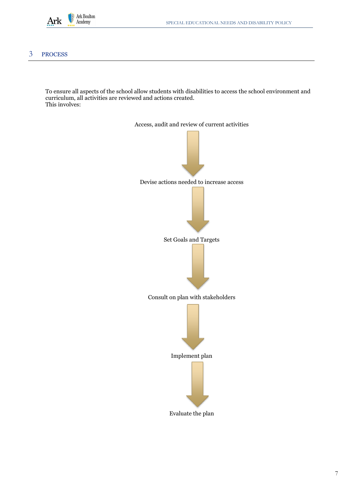

#### <span id="page-7-0"></span>3 PROCESS

To ensure all aspects of the school allow students with disabilities to access the school environment and curriculum, all activities are reviewed and actions created. This involves:

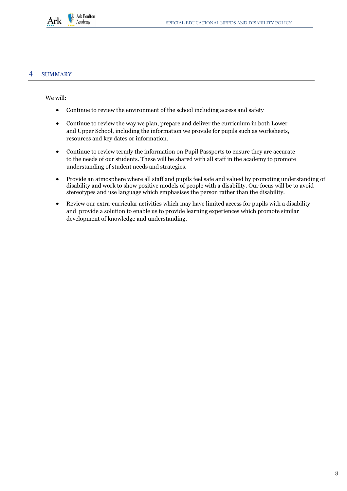

#### <span id="page-8-0"></span>4 SUMMARY

We will:

- Continue to review the environment of the school including access and safety
- Continue to review the way we plan, prepare and deliver the curriculum in both Lower and Upper School, including the information we provide for pupils such as worksheets, resources and key dates or information.
- Continue to review termly the information on Pupil Passports to ensure they are accurate to the needs of our students. These will be shared with all staff in the academy to promote understanding of student needs and strategies.
- Provide an atmosphere where all staff and pupils feel safe and valued by promoting understanding of disability and work to show positive models of people with a disability. Our focus will be to avoid stereotypes and use language which emphasises the person rather than the disability.
- Review our extra-curricular activities which may have limited access for pupils with a disability and provide a solution to enable us to provide learning experiences which promote similar development of knowledge and understanding.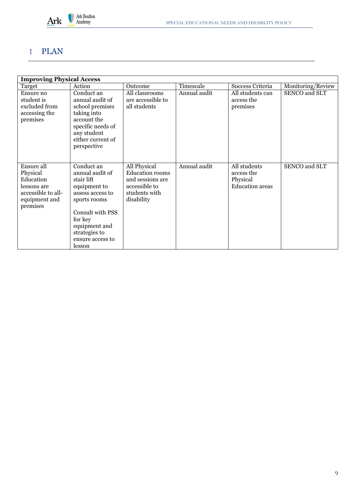

### 1 PLAN

| <b>Improving Physical Access</b>                                                                      |                                                                                                                                                                                                |                                                                                                            |              |                                                                  |                   |  |
|-------------------------------------------------------------------------------------------------------|------------------------------------------------------------------------------------------------------------------------------------------------------------------------------------------------|------------------------------------------------------------------------------------------------------------|--------------|------------------------------------------------------------------|-------------------|--|
| Target                                                                                                | Action                                                                                                                                                                                         | Outcome                                                                                                    | Timescale    | Success Criteria                                                 | Monitoring/Review |  |
| Ensure no<br>student is<br>excluded from<br>accessing the<br>premises                                 | Conduct an<br>annual audit of<br>school premises<br>taking into<br>account the<br>specific needs of<br>any student<br>either current of<br>perspective                                         | All classrooms<br>are accessible to<br>all students                                                        | Annual audit | All students can<br>access the<br>premises                       | SENCO and SLT     |  |
| Ensure all<br>Physical<br>Education<br>lessons are<br>accessible to all-<br>equipment and<br>premises | Conduct an<br>annual audit of<br>stair lift<br>equipment to<br>assess access to<br>sports rooms<br>Consult with PSS<br>for key<br>equipment and<br>strategies to<br>ensure access to<br>lesson | All Physical<br><b>Education</b> rooms<br>and sessions are<br>accessible to<br>students with<br>disability | Annual audit | All students<br>access the<br>Physical<br><b>Education</b> areas | SENCO and SLT     |  |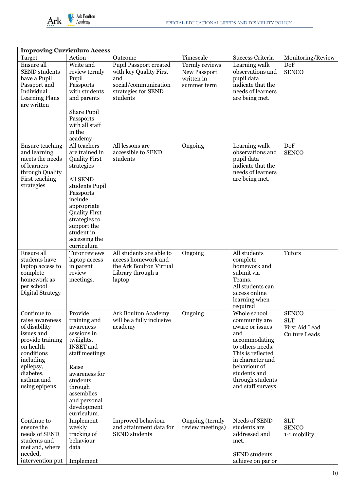

| <b>Improving Curriculum Access</b>                                                                                                                                                 |                                                                                                                                                                                                                                                |                                                                                                                           |                                                             |                                                                                                                                                                                                                |                                                                      |  |
|------------------------------------------------------------------------------------------------------------------------------------------------------------------------------------|------------------------------------------------------------------------------------------------------------------------------------------------------------------------------------------------------------------------------------------------|---------------------------------------------------------------------------------------------------------------------------|-------------------------------------------------------------|----------------------------------------------------------------------------------------------------------------------------------------------------------------------------------------------------------------|----------------------------------------------------------------------|--|
| Target                                                                                                                                                                             | Action                                                                                                                                                                                                                                         | Outcome                                                                                                                   | Timescale                                                   | Success Criteria                                                                                                                                                                                               | Monitoring/Review                                                    |  |
| Ensure all<br><b>SEND</b> students<br>have a Pupil<br>Passport and<br>Individual<br><b>Learning Plans</b><br>are written                                                           | Write and<br>review termly<br>Pupil<br>Passports<br>with students<br>and parents<br>Share Pupil<br>Passports<br>with all staff<br>in the<br>academy                                                                                            | <b>Pupil Passport created</b><br>with key Quality First<br>and<br>social/communication<br>strategies for SEND<br>students | Termly reviews<br>New Passport<br>written in<br>summer term | Learning walk<br>observations and<br>pupil data<br>indicate that the<br>needs of learners<br>are being met.                                                                                                    | <b>DoF</b><br><b>SENCO</b>                                           |  |
| <b>Ensure teaching</b><br>and learning<br>meets the needs<br>of learners<br>through Quality<br>First teaching<br>strategies                                                        | All teachers<br>are trained in<br><b>Quality First</b><br>strategies<br>All SEND<br>students Pupil<br>Passports<br>include<br>appropriate<br><b>Quality First</b><br>strategies to<br>support the<br>student in<br>accessing the<br>curriculum | All lessons are<br>accessible to SEND<br>students                                                                         | Ongoing                                                     | Learning walk<br>observations and<br>pupil data<br>indicate that the<br>needs of learners<br>are being met.                                                                                                    | DoF<br><b>SENCO</b>                                                  |  |
| Ensure all<br>students have<br>laptop access to<br>complete<br>homework as<br>per school<br>Digital Strategy                                                                       | Tutor reviews<br>laptop access<br>in parent<br>review<br>meetings.                                                                                                                                                                             | All students are able to<br>access homework and<br>the Ark Boulton Virtual<br>Library through a<br>laptop                 | Ongoing                                                     | All students<br>complete<br>homework and<br>submit via<br>Teams.<br>All students can<br>access online<br>learning when<br>required                                                                             | <b>Tutors</b>                                                        |  |
| Continue to<br>raise awareness<br>of disability<br>issues and<br>provide training<br>on health<br>conditions<br>including<br>epilepsy,<br>diabetes,<br>asthma and<br>using epipens | Provide<br>training and<br>awareness<br>sessions in<br>twilights,<br><b>INSET</b> and<br>staff meetings<br>Raise<br>awareness for<br>students<br>through<br>assemblies<br>and personal<br>development<br>curriculum.                           | Ark Boulton Academy<br>will be a fully inclusive<br>academy                                                               | Ongoing                                                     | Whole school<br>community are<br>aware or issues<br>and<br>accommodating<br>to others needs.<br>This is reflected<br>in character and<br>behaviour of<br>students and<br>through students<br>and staff surveys | <b>SENCO</b><br><b>SLT</b><br>First Aid Lead<br><b>Culture Leads</b> |  |
| Continue to<br>ensure the<br>needs of SEND<br>students and<br>met and, where<br>needed,<br>intervention put                                                                        | Implement<br>weekly<br>tracking of<br>behaviour<br>data<br>Implement                                                                                                                                                                           | Improved behaviour<br>and attainment data for<br><b>SEND</b> students                                                     | Ongoing (termly<br>review meetings)                         | Needs of SEND<br>students are<br>addressed and<br>met.<br><b>SEND</b> students<br>achieve on par or                                                                                                            | <b>SLT</b><br><b>SENCO</b><br>1-1 mobility                           |  |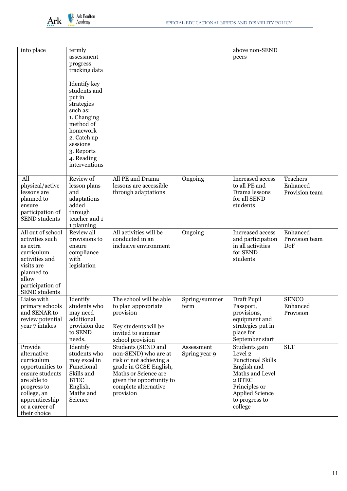

| into place                                                                                                                                                                   | termly<br>assessment                                                                                                    |                                                                                                                                                                                          |                             | above non-SEND<br>peers                                                                                                                                                  |                                        |
|------------------------------------------------------------------------------------------------------------------------------------------------------------------------------|-------------------------------------------------------------------------------------------------------------------------|------------------------------------------------------------------------------------------------------------------------------------------------------------------------------------------|-----------------------------|--------------------------------------------------------------------------------------------------------------------------------------------------------------------------|----------------------------------------|
|                                                                                                                                                                              | progress<br>tracking data                                                                                               |                                                                                                                                                                                          |                             |                                                                                                                                                                          |                                        |
|                                                                                                                                                                              | Identify key<br>students and<br>put in                                                                                  |                                                                                                                                                                                          |                             |                                                                                                                                                                          |                                        |
|                                                                                                                                                                              | strategies<br>such as:                                                                                                  |                                                                                                                                                                                          |                             |                                                                                                                                                                          |                                        |
|                                                                                                                                                                              | 1. Changing<br>method of<br>homework<br>2. Catch up                                                                     |                                                                                                                                                                                          |                             |                                                                                                                                                                          |                                        |
|                                                                                                                                                                              | sessions<br>3. Reports<br>4. Reading                                                                                    |                                                                                                                                                                                          |                             |                                                                                                                                                                          |                                        |
|                                                                                                                                                                              | interventions                                                                                                           |                                                                                                                                                                                          |                             |                                                                                                                                                                          |                                        |
| All<br>physical/active<br>lessons are<br>planned to<br>ensure<br>participation of<br><b>SEND</b> students                                                                    | Review of<br>lesson plans<br>and<br>adaptations<br>added<br>through<br>teacher and 1-<br>1 planning                     | All PE and Drama<br>lessons are accessible<br>through adaptations                                                                                                                        | Ongoing                     | Increased access<br>to all PE and<br>Drama lessons<br>for all SEND<br>students                                                                                           | Teachers<br>Enhanced<br>Provision team |
| All out of school<br>activities such<br>as extra<br>curriculum<br>activities and<br>visits are<br>planned to<br>allow<br>participation of<br><b>SEND</b> students            | Review all<br>provisions to<br>ensure<br>compliance<br>with<br>legislation                                              | All activities will be<br>conducted in an<br>inclusive environment                                                                                                                       | Ongoing                     | Increased access<br>and participation<br>in all activities<br>for SEND<br>students                                                                                       | Enhanced<br>Provision team<br>DoF      |
| Liaise with<br>primary schools<br>and SENAR to<br>review potential<br>year 7 intakes                                                                                         | Identify<br>students who<br>may need<br>additional<br>provision due<br>to SEND<br>needs.                                | The school will be able<br>to plan appropriate<br>provision<br>Key students will be<br>invited to summer<br>school provision                                                             | Spring/summer<br>term       | Draft Pupil<br>Passport,<br>provisions,<br>equipment and<br>strategies put in<br>place for<br>September start                                                            | <b>SENCO</b><br>Enhanced<br>Provision  |
| Provide<br>alternative<br>curriculum<br>opportunities to<br>ensure students<br>are able to<br>progress to<br>college, an<br>apprenticeship<br>or a career of<br>their choice | Identify<br>students who<br>may excel in<br>Functional<br>Skills and<br><b>BTEC</b><br>English,<br>Maths and<br>Science | Students (SEND and<br>non-SEND) who are at<br>risk of not achieving a<br>grade in GCSE English,<br>Maths or Science are<br>given the opportunity to<br>complete alternative<br>provision | Assessment<br>Spring year 9 | Students gain<br>Level 2<br><b>Functional Skills</b><br>English and<br>Maths and Level<br>2 BTEC<br>Principles or<br><b>Applied Science</b><br>to progress to<br>college | <b>SLT</b>                             |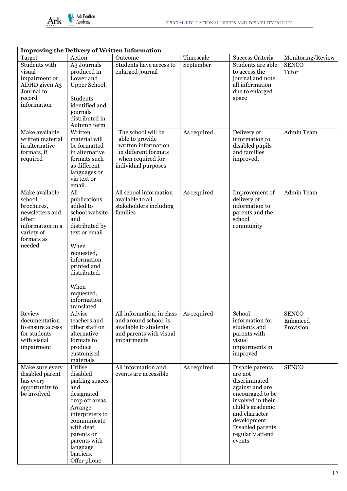

| <b>Improving the Delivery of Written Information</b>                                                                         |                                                                                                                                                                                                                    |                                                                                                                       |                          |                                                                                                                                                                                                                |                                            |  |  |
|------------------------------------------------------------------------------------------------------------------------------|--------------------------------------------------------------------------------------------------------------------------------------------------------------------------------------------------------------------|-----------------------------------------------------------------------------------------------------------------------|--------------------------|----------------------------------------------------------------------------------------------------------------------------------------------------------------------------------------------------------------|--------------------------------------------|--|--|
| Target                                                                                                                       | Action                                                                                                                                                                                                             | Outcome                                                                                                               | Timescale                | Success Criteria                                                                                                                                                                                               | Monitoring/Review                          |  |  |
| Students with<br>visual<br>impairment or<br>ADHD given A3<br>Journal to<br>record<br>information<br>Make available           | A3 Journals<br>produced in<br>Lower and<br>Upper School.<br><b>Students</b><br>identified and<br>journals<br>distributed in<br>Autumn term<br>Written                                                              | Students have access to<br>enlarged journal<br>The school will be                                                     | September<br>As required | Students are able<br>to access the<br>journal and note<br>all information<br>due to enlarged<br>space<br>Delivery of                                                                                           | <b>SENCO</b><br>Tutor<br><b>Admin Team</b> |  |  |
| written material<br>in alternative<br>formats, if<br>required                                                                | material will<br>be formatted<br>in alternative<br>formats such<br>as different<br>languages or<br>via text or<br>email.                                                                                           | able to provide<br>written information<br>in different formats<br>when required for<br>individual purposes            |                          | information to<br>disabled pupils<br>and families<br>improved.                                                                                                                                                 |                                            |  |  |
| Make available<br>school<br>brochures,<br>newsletters and<br>other<br>information in a<br>variety of<br>formats as<br>needed | All<br>publications<br>added to<br>school website<br>and<br>distributed by<br>text or email<br>When<br>requested,<br>information<br>printed and<br>distributed.<br>When<br>requested,<br>information<br>translated | All school information<br>available to all<br>stakeholders including<br>families                                      | As required              | Improvement of<br>delivery of<br>information to<br>parents and the<br>school<br>community                                                                                                                      | <b>Admin Team</b>                          |  |  |
| Review<br>documentation<br>to ensure access<br>for students<br>with visual<br>impairment                                     | Advise<br>teachers and<br>other staff on<br>alternative<br>formats to<br>produce<br>customised<br>materials                                                                                                        | All information, in class<br>and around school, is<br>available to students<br>and parents with visual<br>impairments | As required              | School<br>information for<br>students and<br>parents with<br>visual<br>impairments in<br>improved                                                                                                              | <b>SENCO</b><br>Enhanced<br>Provision      |  |  |
| Make sure every<br>disabled parent<br>has every<br>opportunity to<br>be involved                                             | Utilise<br>disabled<br>parking spaces<br>and<br>designated<br>drop off areas.<br>Arrange<br>interpreters to<br>communicate<br>with deaf<br>parents or<br>parents with<br>language<br>barriers.<br>Offer phone      | All information and<br>events are accessible                                                                          | As required              | Disable parents<br>are not<br>discriminated<br>against and are<br>encouraged to be<br>involved in their<br>child's academic<br>and character<br>development.<br>Disabled parents<br>regularly attend<br>events | <b>SENCO</b>                               |  |  |